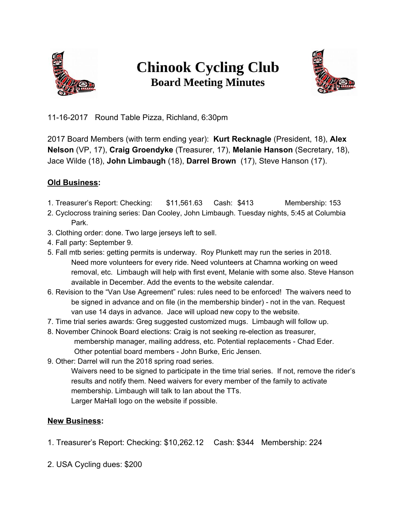

## **Chinook Cycling Club Board Meeting Minutes**



11-16-2017 Round Table Pizza, Richland, 6:30pm

2017 Board Members (with term ending year): **Kurt Recknagle** (President, 18), **Alex Nelson** (VP, 17), **Craig Groendyke** (Treasurer, 17), **Melanie Hanson** (Secretary, 18), Jace Wilde (18), **John Limbaugh** (18), **Darrel Brown** (17), Steve Hanson (17).

## **Old Business:**

- 1. Treasurer's Report: Checking: \$11,561.63 Cash: \$413 Membership: 153
- 2. Cyclocross training series: Dan Cooley, John Limbaugh. Tuesday nights, 5:45 at Columbia Park.
- 3. Clothing order: done. Two large jerseys left to sell.
- 4. Fall party: September 9.
- 5. Fall mtb series: getting permits is underway. Roy Plunkett may run the series in 2018. Need more volunteers for every ride. Need volunteers at Chamna working on weed removal, etc. Limbaugh will help with first event, Melanie with some also. Steve Hanson available in December. Add the events to the website calendar.
- 6. Revision to the "Van Use Agreement" rules: rules need to be enforced! The waivers need to be signed in advance and on file (in the membership binder) - not in the van. Request van use 14 days in advance. Jace will upload new copy to the website.
- 7. Time trial series awards: Greg suggested customized mugs. Limbaugh will follow up.
- 8. November Chinook Board elections: Craig is not seeking re-election as treasurer, membership manager, mailing address, etc. Potential replacements - Chad Eder. Other potential board members - John Burke, Eric Jensen.
- 9. Other: Darrel will run the 2018 spring road series.

Waivers need to be signed to participate in the time trial series. If not, remove the rider's results and notify them. Need waivers for every member of the family to activate membership. Limbaugh will talk to Ian about the TTs. Larger MaHall logo on the website if possible.

## **New Business:**

- 1. Treasurer's Report: Checking: \$10,262.12 Cash: \$344 Membership: 224
- 2. USA Cycling dues: \$200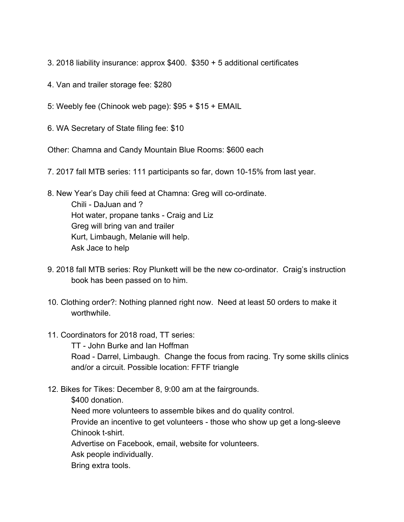- 3. 2018 liability insurance: approx \$400. \$350 + 5 additional certificates
- 4. Van and trailer storage fee: \$280
- 5: Weebly fee (Chinook web page): \$95 + \$15 + EMAIL
- 6. WA Secretary of State filing fee: \$10

Other: Chamna and Candy Mountain Blue Rooms: \$600 each

- 7. 2017 fall MTB series: 111 participants so far, down 10-15% from last year.
- 8. New Year's Day chili feed at Chamna: Greg will co-ordinate. Chili - DaJuan and ? Hot water, propane tanks - Craig and Liz Greg will bring van and trailer Kurt, Limbaugh, Melanie will help. Ask Jace to help
- 9. 2018 fall MTB series: Roy Plunkett will be the new co-ordinator. Craig's instruction book has been passed on to him.
- 10. Clothing order?: Nothing planned right now. Need at least 50 orders to make it worthwhile.
- 11. Coordinators for 2018 road, TT series:

TT - John Burke and Ian Hoffman Road - Darrel, Limbaugh. Change the focus from racing. Try some skills clinics and/or a circuit. Possible location: FFTF triangle

12. Bikes for Tikes: December 8, 9:00 am at the fairgrounds.

\$400 donation.

Need more volunteers to assemble bikes and do quality control.

Provide an incentive to get volunteers - those who show up get a long-sleeve Chinook t-shirt.

Advertise on Facebook, email, website for volunteers.

Ask people individually.

Bring extra tools.